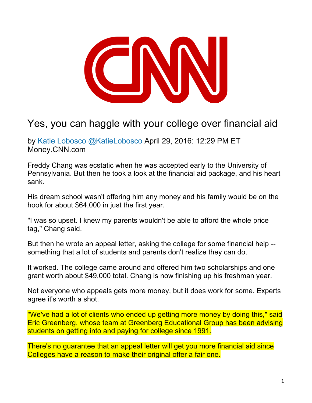

# Yes, you can haggle with your college over financial aid

by Katie Lobosco @KatieLobosco April 29, 2016: 12:29 PM ET Money.CNN.com

Freddy Chang was ecstatic when he was accepted early to the University of Pennsylvania. But then he took a look at the financial aid package, and his heart sank.

His dream school wasn't offering him any money and his family would be on the hook for about \$64,000 in just the first year.

"I was so upset. I knew my parents wouldn't be able to afford the whole price tag," Chang said.

But then he wrote an appeal letter, asking the college for some financial help - something that a lot of students and parents don't realize they can do.

It worked. The college came around and offered him two scholarships and one grant worth about \$49,000 total. Chang is now finishing up his freshman year.

Not everyone who appeals gets more money, but it does work for some. Experts agree it's worth a shot.

"We've had a lot of clients who ended up getting more money by doing this," said Eric Greenberg, whose team at Greenberg Educational Group has been advising students on getting into and paying for college since 1991.

There's no guarantee that an appeal letter will get you more financial aid since Colleges have a reason to make their original offer a fair one.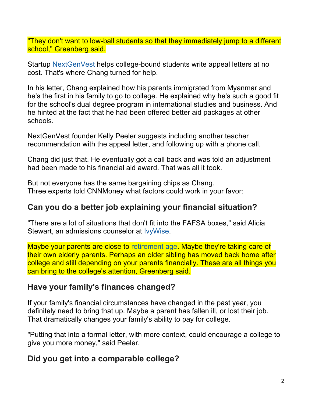"They don't want to low-ball students so that they immediately jump to a different school," Greenberg said.

Startup NextGenVest helps college-bound students write appeal letters at no cost. That's where Chang turned for help.

In his letter, Chang explained how his parents immigrated from Myanmar and he's the first in his family to go to college. He explained why he's such a good fit for the school's dual degree program in international studies and business. And he hinted at the fact that he had been offered better aid packages at other schools.

NextGenVest founder Kelly Peeler suggests including another teacher recommendation with the appeal letter, and following up with a phone call.

Chang did just that. He eventually got a call back and was told an adjustment had been made to his financial aid award. That was all it took.

But not everyone has the same bargaining chips as Chang. Three experts told CNNMoney what factors could work in your favor:

## **Can you do a better job explaining your financial situation?**

"There are a lot of situations that don't fit into the FAFSA boxes," said Alicia Stewart, an admissions counselor at IvyWise.

Maybe your parents are close to retirement age. Maybe they're taking care of their own elderly parents. Perhaps an older sibling has moved back home after college and still depending on your parents financially. These are all things you can bring to the college's attention, Greenberg said.

### **Have your family's finances changed?**

If your family's financial circumstances have changed in the past year, you definitely need to bring that up. Maybe a parent has fallen ill, or lost their job. That dramatically changes your family's ability to pay for college.

"Putting that into a formal letter, with more context, could encourage a college to give you more money," said Peeler.

## **Did you get into a comparable college?**